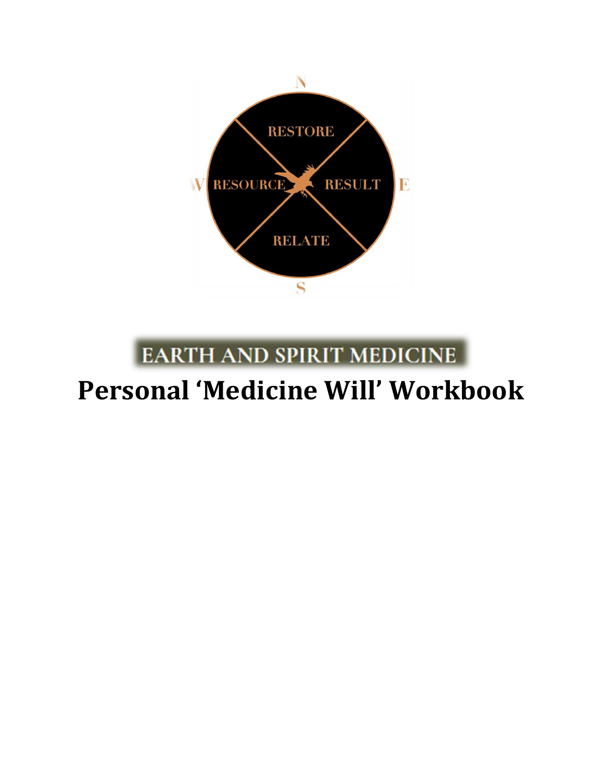

## **EARTH AND SPIRIT MEDICINE**

# **Personal 'Medicine Will' Workbook**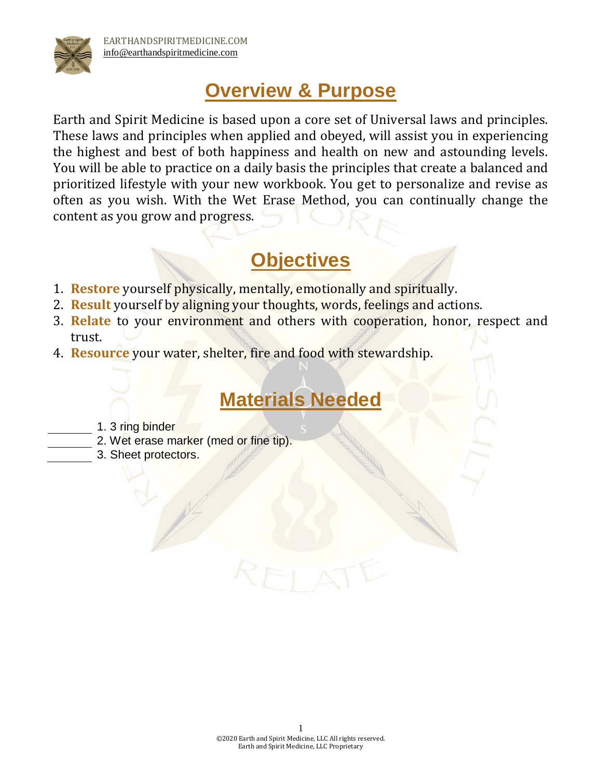

### **Overview & Purpose**

Earth and Spirit Medicine is based upon a core set of Universal laws and principles. These laws and principles when applied and obeyed, will assist you in experiencing the highest and best of both happiness and health on new and astounding levels. You will be able to practice on a daily basis the principles that create a balanced and prioritized lifestyle with your new workbook. You get to personalize and revise as often as you wish. With the Wet Erase Method, you can continually change the content as you grow and progress.

### **Objectives**

- 1. **Restore** yourself physically, mentally, emotionally and spiritually.
- 2. **Result** yourself by aligning your thoughts, words, feelings and actions.
- 3. **Relate** to your environment and others with cooperation, honor, respect and trust.
- 4. **Resource** your water, shelter, fire and food with stewardship.

### **Materials Needed**

- 1. 3 ring binder
- 2. Wet erase marker (med or fine tip).
	- 3. Sheet protectors.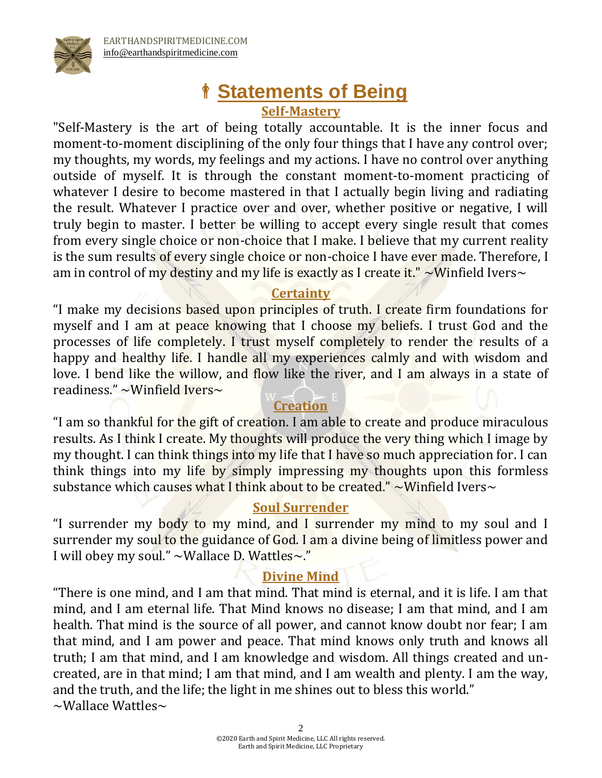

# **Statements of Being**

#### **Self-Mastery**

"Self-Mastery is the art of being totally accountable. It is the inner focus and moment-to-moment disciplining of the only four things that I have any control over; my thoughts, my words, my feelings and my actions. I have no control over anything outside of myself. It is through the constant moment-to-moment practicing of whatever I desire to become mastered in that I actually begin living and radiating the result. Whatever I practice over and over, whether positive or negative, I will truly begin to master. I better be willing to accept every single result that comes from every single choice or non-choice that I make. I believe that my current reality is the sum results of every single choice or non-choice I have ever made. Therefore, I am in control of my destiny and my life is exactly as I create it."  $\sim$  Winfield Ivers $\sim$ 

#### **Certainty**

"I make my decisions based upon principles of truth. I create firm foundations for myself and I am at peace knowing that I choose my beliefs. I trust God and the processes of life completely. I trust myself completely to render the results of a happy and healthy life. I handle all my experiences calmly and with wisdom and love. I bend like the willow, and flow like the river, and I am always in a state of readiness." ~Winfield Ivers~

#### **Creation**

"I am so thankful for the gift of creation. I am able to create and produce miraculous results. As I think I create. My thoughts will produce the very thing which I image by my thought. I can think things into my life that I have so much appreciation for. I can think things into my life by simply impressing my thoughts upon this formless substance which causes what I think about to be created."  $\sim$  Winfield Ivers $\sim$ 

#### **Soul Surrender**

"I surrender my body to my mind, and I surrender my mind to my soul and I surrender my soul to the guidance of God. I am a divine being of limitless power and I will obey my soul." ~Wallace D. Wattles~."

#### **Divine Mind**

"There is one mind, and I am that mind. That mind is eternal, and it is life. I am that mind, and I am eternal life. That Mind knows no disease; I am that mind, and I am health. That mind is the source of all power, and cannot know doubt nor fear; I am that mind, and I am power and peace. That mind knows only truth and knows all truth; I am that mind, and I am knowledge and wisdom. All things created and uncreated, are in that mind; I am that mind, and I am wealth and plenty. I am the way, and the truth, and the life; the light in me shines out to bless this world."  $\sim$ Wallace Wattles $\sim$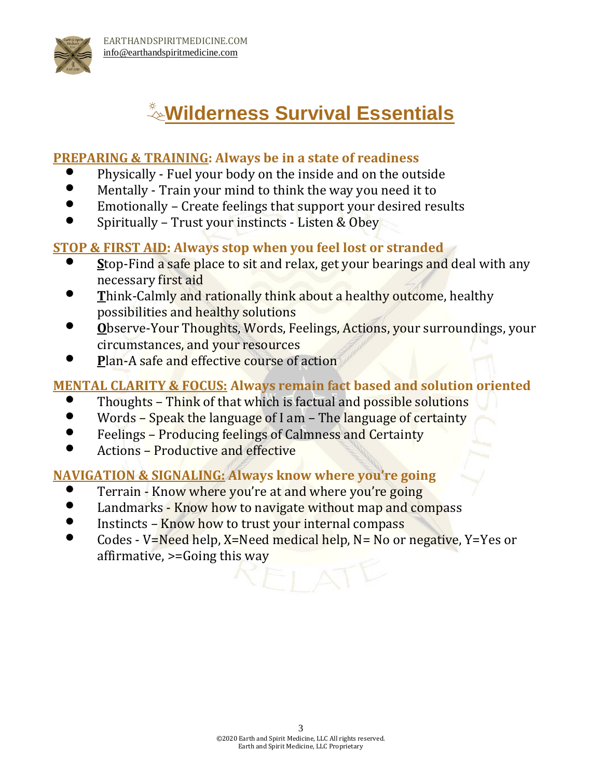

## **Wilderness Survival Essentials**

#### **PREPARING & TRAINING: Always be in a state of readiness**

- Physically Fuel your body on the inside and on the outside
- Mentally Train your mind to think the way you need it to
- Emotionally Create feelings that support your desired results
- Spiritually Trust your instincts Listen & Obey

#### **STOP & FIRST AID: Always stop when you feel lost or stranded**

- **S**top-Find a safe place to sit and relax, get your bearings and deal with any necessary first aid
- **T**hink-Calmly and rationally think about a healthy outcome, healthy possibilities and healthy solutions
- **O**bserve-Your Thoughts, Words, Feelings, Actions, your surroundings, your circumstances, and your resources
- **P**lan-A safe and effective course of action

#### **MENTAL CLARITY & FOCUS: Always remain fact based and solution oriented**

- Thoughts Think of that which is factual and possible solutions
- Words Speak the language of I am The language of certainty
- Feelings Producing feelings of Calmness and Certainty
- Actions Productive and effective

#### **NAVIGATION & SIGNALING: Always know where you're going**

- Terrain Know where you're at and where you're going
- Landmarks Know how to navigate without map and compass
- Instincts Know how to trust your internal compass
- Codes V=Need help, X=Need medical help, N= No or negative, Y=Yes or affirmative, >=Going this way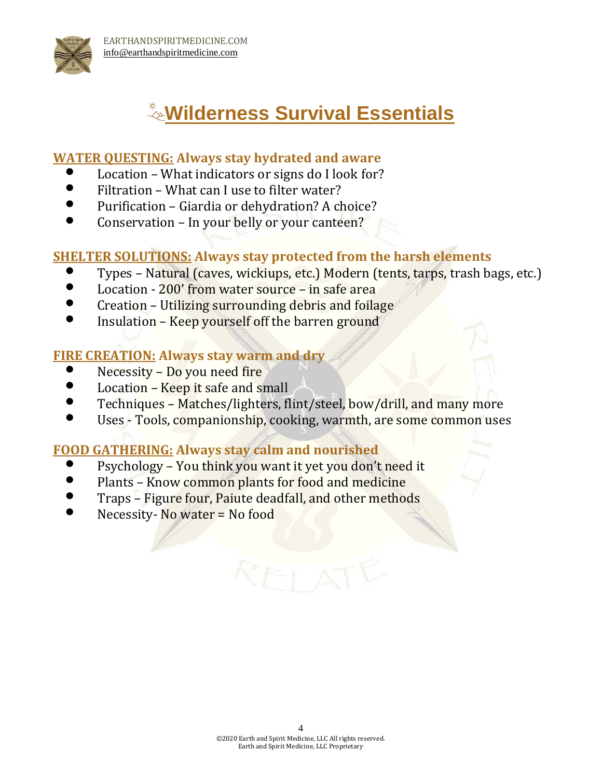

## **Wilderness Survival Essentials**

#### **WATER QUESTING: Always stay hydrated and aware**

- Location What indicators or signs do I look for?
- Filtration What can I use to filter water?
- Purification Giardia or dehydration? A choice?
- Conservation In your belly or your canteen?

#### **SHELTER SOLUTIONS: Always stay protected from the harsh elements**

- Types Natural (caves, wickiups, etc.) Modern (tents, tarps, trash bags, etc.)
- Location 200' from water source in safe area
- Creation Utilizing surrounding debris and foilage
- Insulation Keep yourself off the barren ground

#### **FIRE CREATION: Always stay warm and dry**

- Necessity Do you need fire
- Location Keep it safe and small
- Techniques Matches/lighters, flint/steel, bow/drill, and many more
- Uses Tools, companionship, cooking, warmth, are some common uses

#### **FOOD GATHERING: Always stay calm and nourished**

- Psychology You think you want it yet you don't need it
- Plants Know common plants for food and medicine
- Traps Figure four, Paiute deadfall, and other methods
- Necessity- No water = No food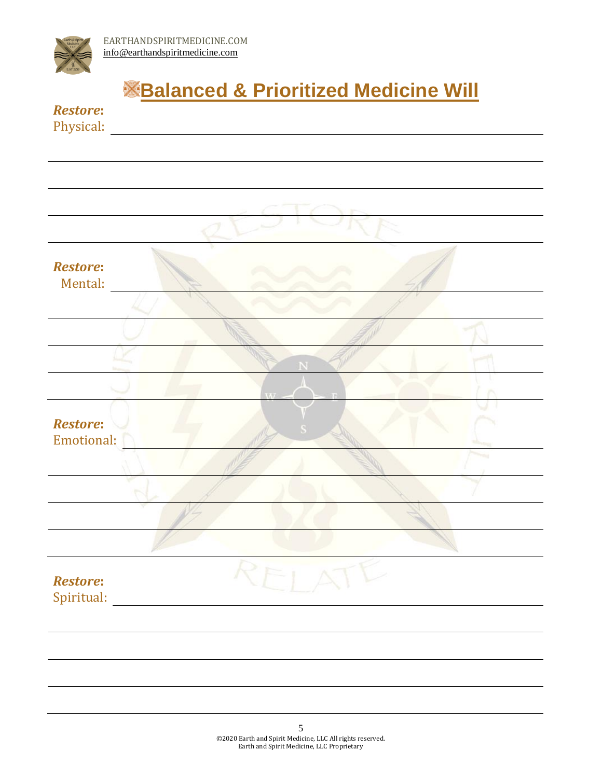

## **<u>Balanced & Prioritized Medicine Will</u>**

Physical:

| <b>Restore:</b><br>Mental:    |   |              |  |
|-------------------------------|---|--------------|--|
|                               |   |              |  |
|                               |   |              |  |
|                               |   |              |  |
|                               |   |              |  |
| <b>Restore:</b><br>Emotional: |   |              |  |
|                               |   |              |  |
|                               |   |              |  |
|                               |   |              |  |
|                               |   |              |  |
| Restore:<br>Spiritual:        | x | $\leftarrow$ |  |
|                               |   |              |  |
|                               |   |              |  |
|                               |   |              |  |
|                               |   |              |  |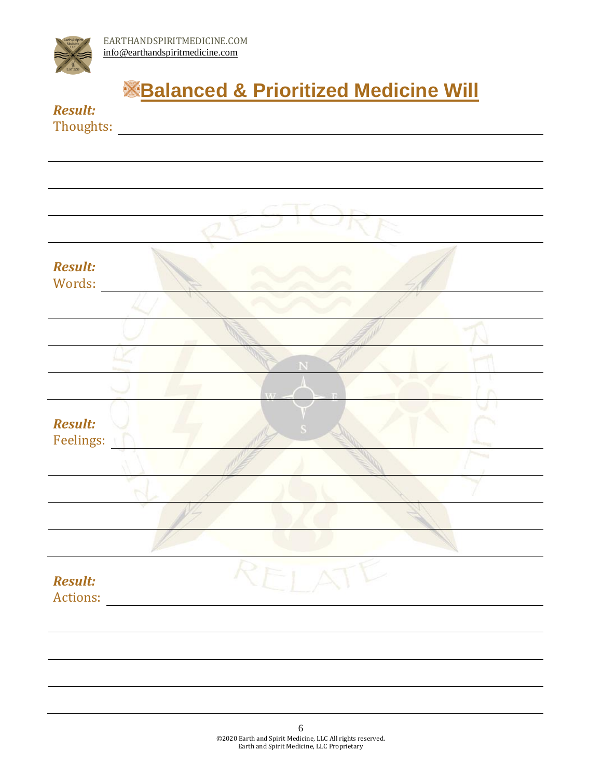

*Result:*

## **Balanced & Prioritized Medicine Will**

|                                                           | --------<br>Thoughts: |  |  |
|-----------------------------------------------------------|-----------------------|--|--|
|                                                           |                       |  |  |
|                                                           |                       |  |  |
|                                                           |                       |  |  |
|                                                           |                       |  |  |
|                                                           |                       |  |  |
| <b>Result:</b><br>Words:                                  |                       |  |  |
|                                                           |                       |  |  |
|                                                           |                       |  |  |
| <b>Result:</b><br>Feelings:<br><b>Result:</b><br>Actions: |                       |  |  |
|                                                           |                       |  |  |
|                                                           |                       |  |  |
|                                                           |                       |  |  |
|                                                           |                       |  |  |
|                                                           |                       |  |  |
|                                                           |                       |  |  |
|                                                           |                       |  |  |
|                                                           |                       |  |  |
|                                                           |                       |  |  |
|                                                           |                       |  |  |
|                                                           |                       |  |  |
|                                                           |                       |  |  |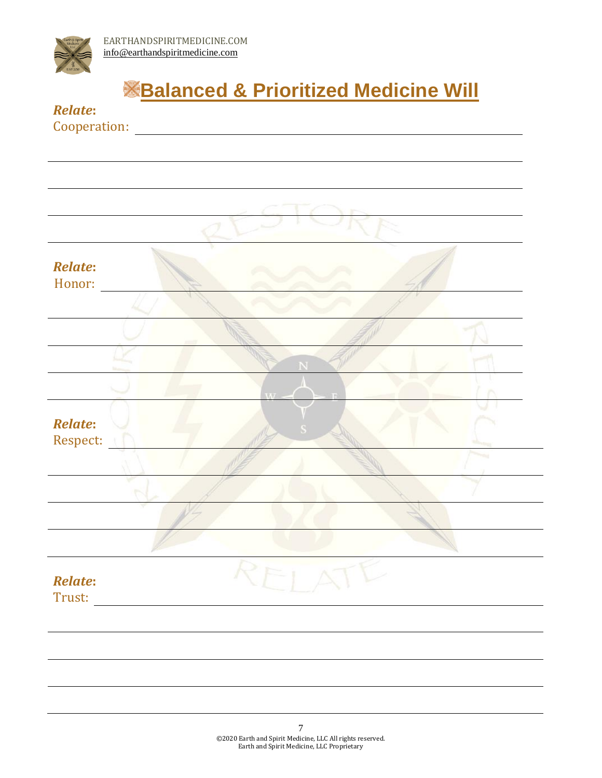

L,

## **Balanced & Prioritized Medicine Will**

| <b>Relate:</b> |                |
|----------------|----------------|
| Cooperation:   |                |
|                |                |
|                |                |
|                |                |
|                |                |
|                |                |
|                |                |
|                |                |
|                |                |
|                |                |
| <b>Relate:</b> |                |
| Honor:         |                |
|                |                |
|                |                |
|                |                |
|                |                |
|                |                |
|                |                |
|                |                |
|                | $\overline{M}$ |
|                |                |
| <b>Relate:</b> |                |
| Respect:       |                |
|                |                |
|                |                |
|                |                |
|                |                |
|                |                |
|                |                |
|                |                |
|                |                |
| <b>Relate:</b> |                |
|                |                |
| Trust:         |                |
|                |                |
|                |                |
|                |                |
|                |                |
|                |                |
|                |                |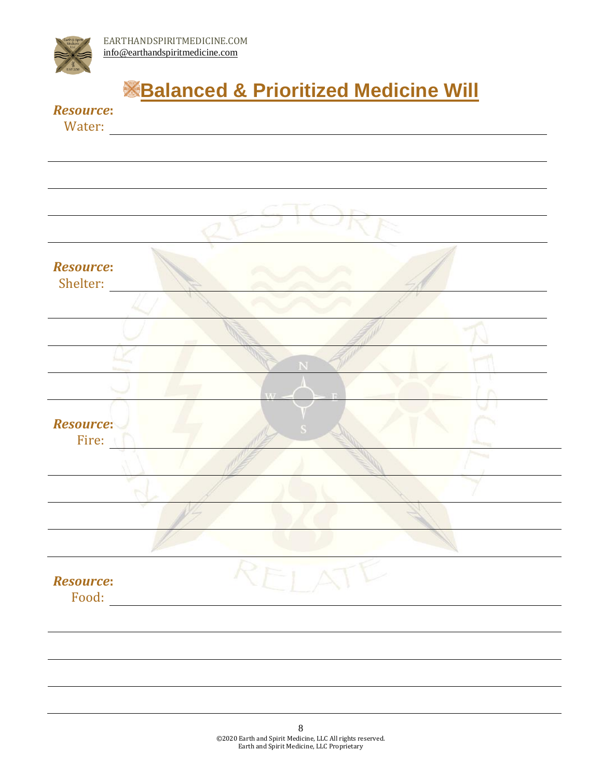

## **<u>Balanced & Prioritized Medicine Will</u>**

#### *Resource***:**

Water:

| <b>Resource:</b><br>Shelter: |      |        |
|------------------------------|------|--------|
|                              |      |        |
|                              |      |        |
|                              |      |        |
|                              |      |        |
|                              | 7.77 |        |
| <b>Resource:</b>             |      |        |
| Fire:                        |      |        |
|                              |      |        |
|                              |      |        |
|                              |      |        |
|                              |      |        |
|                              |      |        |
| <b>Resource:</b>             |      | $\sim$ |
| Food:                        |      |        |
|                              |      |        |
|                              |      |        |
|                              |      |        |
|                              |      |        |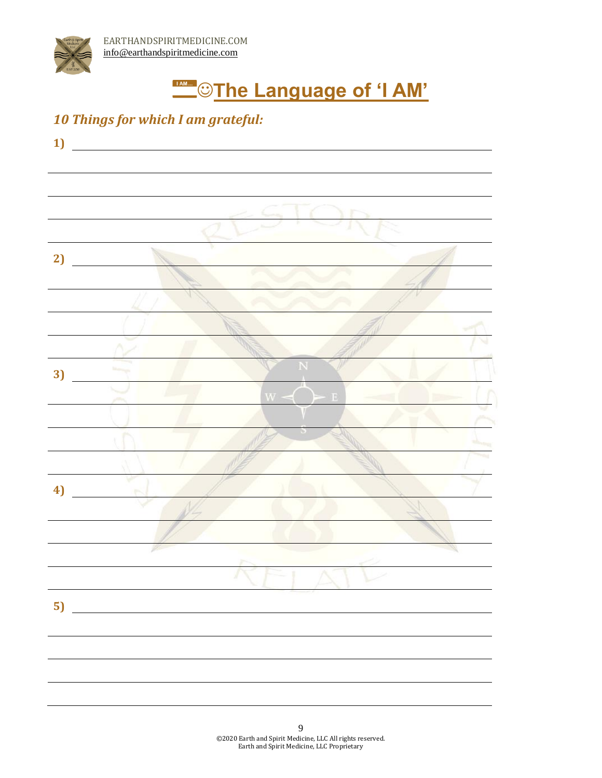# **TAMING THE Language of 'I AM'**

#### *10 Things for which I am grateful:*

| 1)       |                                                   |   |  |
|----------|---------------------------------------------------|---|--|
|          |                                                   |   |  |
|          |                                                   |   |  |
|          |                                                   |   |  |
|          |                                                   |   |  |
|          |                                                   |   |  |
|          |                                                   |   |  |
| 2)       |                                                   |   |  |
|          |                                                   |   |  |
|          |                                                   |   |  |
|          |                                                   |   |  |
|          |                                                   |   |  |
|          |                                                   |   |  |
|          |                                                   |   |  |
| 3)       |                                                   |   |  |
|          |                                                   |   |  |
|          |                                                   | Đ |  |
|          |                                                   |   |  |
|          |                                                   |   |  |
|          |                                                   |   |  |
|          |                                                   |   |  |
| 4)       |                                                   |   |  |
|          |                                                   |   |  |
|          |                                                   |   |  |
|          |                                                   |   |  |
|          |                                                   |   |  |
|          |                                                   |   |  |
|          |                                                   |   |  |
| $5)$ $-$ | <u> 1980 - John Stein, amerikansk politiker (</u> |   |  |
|          |                                                   |   |  |
|          |                                                   |   |  |
|          |                                                   |   |  |
|          |                                                   |   |  |
|          |                                                   |   |  |
|          |                                                   |   |  |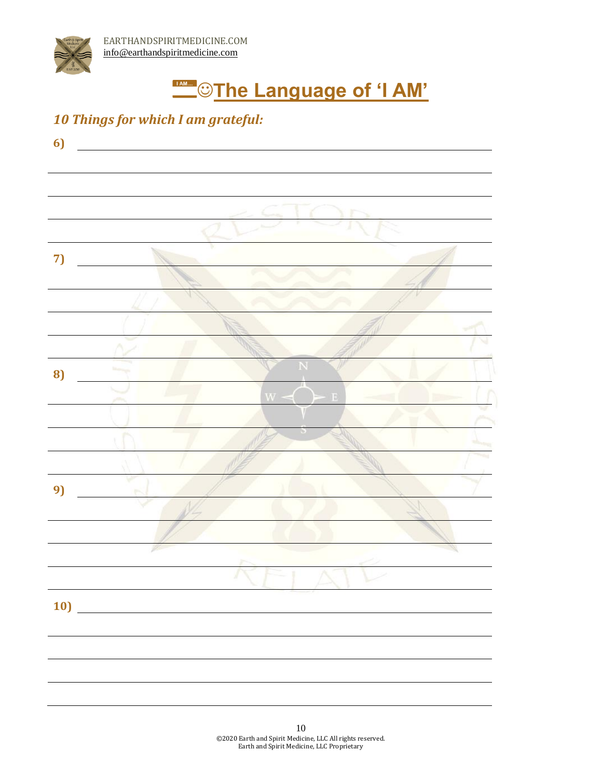# **TAMING THE Language of 'I AM'**

#### *10 Things for which I am grateful:*

| 6) |     |
|----|-----|
|    |     |
|    |     |
|    |     |
| 7) |     |
|    |     |
|    |     |
|    |     |
|    |     |
| 8) |     |
|    |     |
|    |     |
|    |     |
|    |     |
| 9) |     |
|    |     |
|    |     |
|    | ъ   |
|    | 10) |
|    |     |
|    |     |
|    |     |
|    |     |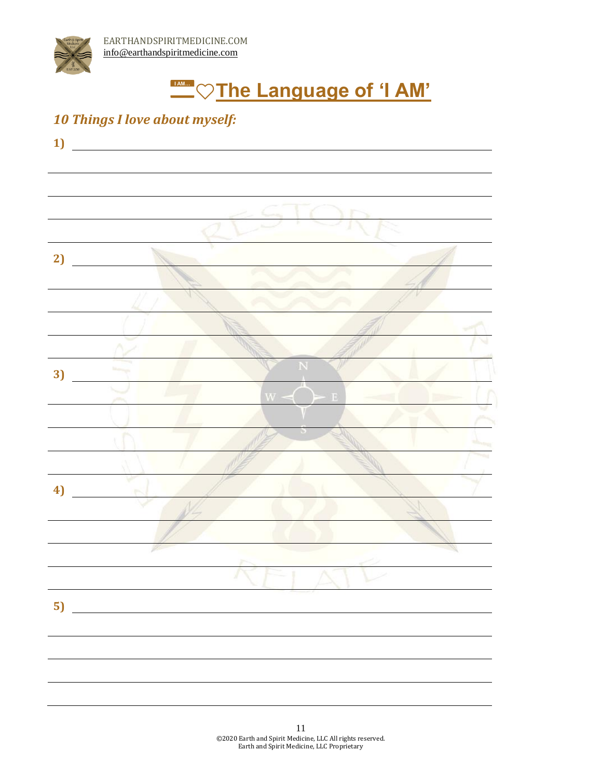

#### *10 Things I love about myself:*

| 1) |    |   |  |
|----|----|---|--|
|    |    |   |  |
|    |    |   |  |
|    |    |   |  |
|    |    |   |  |
| 2) |    |   |  |
|    |    |   |  |
|    |    |   |  |
|    |    |   |  |
|    |    |   |  |
| 3) |    |   |  |
|    |    | Ð |  |
|    |    |   |  |
|    |    |   |  |
|    |    |   |  |
|    |    |   |  |
| 4) |    |   |  |
|    |    |   |  |
|    |    |   |  |
|    |    |   |  |
|    |    |   |  |
|    | 5) |   |  |
|    |    |   |  |
|    |    |   |  |
|    |    |   |  |
|    |    |   |  |